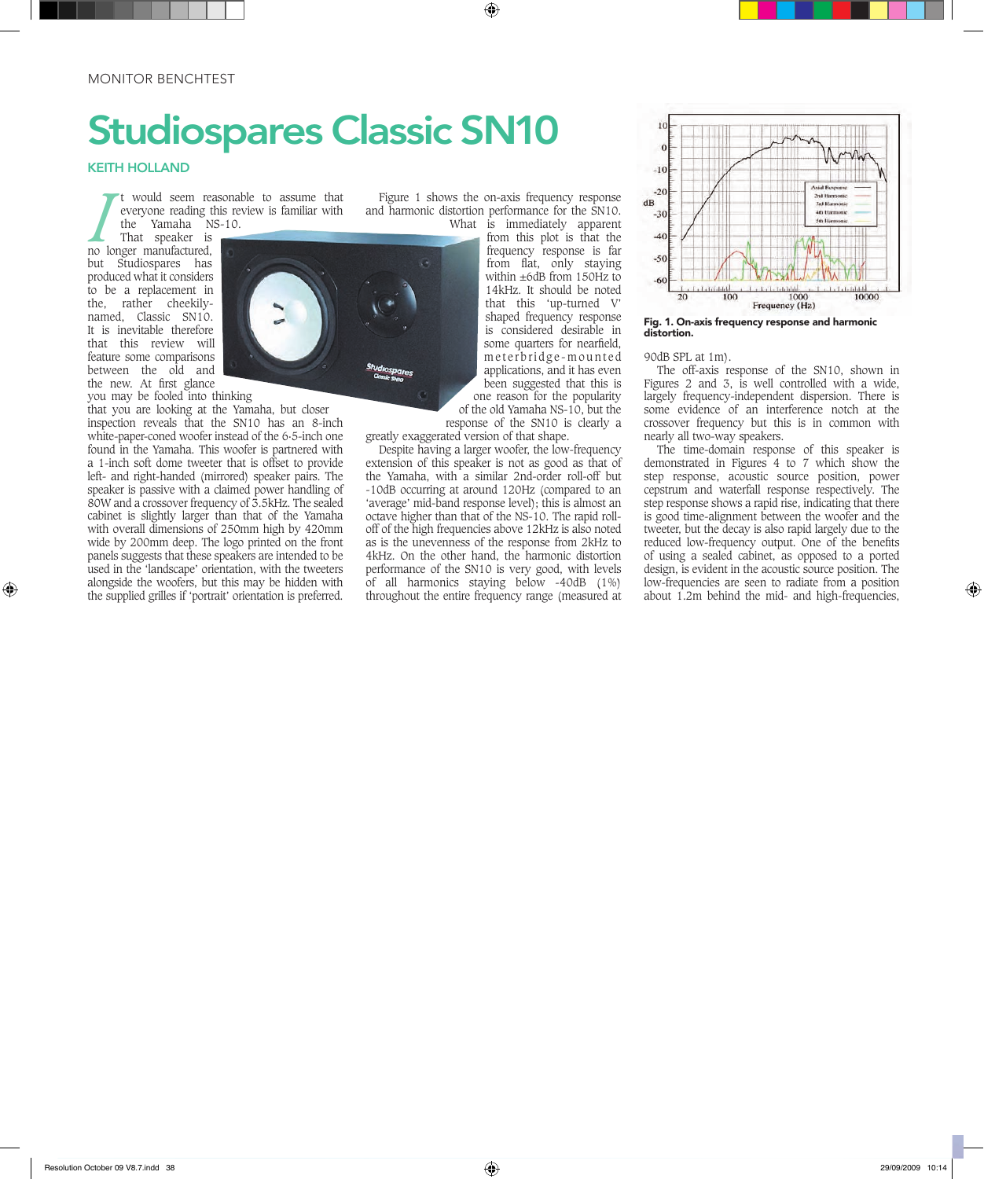# Studiospares Classic SN10

### KEITH HOLLAND

t would seem reasonable to assume that everyone reading this review is familiar with the Yamaha NS-10.

I would seem reading the Yamaha N:<br>
That speaker is<br>
no longer manufactured, That speaker is but Studiospares has produced what it considers to be a replacement in the, rather cheekilynamed, Classic SN10. It is inevitable therefore that this review will feature some comparisons between the old and the new. At first glance you may be fooled into thinking

that you are looking at the Yamaha, but closer inspection reveals that the SN10 has an 8-inch white-paper-coned woofer instead of the 6·5-inch one found in the Yamaha. This woofer is partnered with a 1-inch soft dome tweeter that is offset to provide left- and right-handed (mirrored) speaker pairs. The speaker is passive with a claimed power handling of 80W and a crossover frequency of 3.5kHz. The sealed cabinet is slightly larger than that of the Yamaha with overall dimensions of 250mm high by 420mm wide by 200mm deep. The logo printed on the front panels suggests that these speakers are intended to be used in the 'landscape' orientation, with the tweeters alongside the woofers, but this may be hidden with the supplied grilles if 'portrait' orientation is preferred.

Figure 1 shows the on-axis frequency response and harmonic distortion performance for the SN10. What is immediately apparent

from this plot is that the frequency response is far from flat, only staying within ±6dB from 150Hz to 14kHz. It should be noted that this 'up-turned V' shaped frequency response is considered desirable in some quarters for nearfield, meterbridge-mounted applications, and it has even been suggested that this is one reason for the popularity of the old Yamaha NS-10, but the

response of the SN10 is clearly a greatly exaggerated version of that shape.

Despite having a larger woofer, the low-frequency extension of this speaker is not as good as that of the Yamaha, with a similar 2nd-order roll-off but -10dB occurring at around 120Hz (compared to an 'average' mid-band response level); this is almost an octave higher than that of the NS-10. The rapid rolloff of the high frequencies above 12kHz is also noted as is the unevenness of the response from 2kHz to 4kHz. On the other hand, the harmonic distortion performance of the SN10 is very good, with levels of all harmonics staying below -40dB (1%) throughout the entire frequency range (measured at



Fig. 1. On-axis frequency response and harmonic distortion.

#### 90dB SPL at 1m).

The off-axis response of the SN10, shown in Figures 2 and 3, is well controlled with a wide, largely frequency-independent dispersion. There is some evidence of an interference notch at the crossover frequency but this is in common with nearly all two-way speakers.

The time-domain response of this speaker is demonstrated in Figures 4 to 7 which show the step response, acoustic source position, power cepstrum and waterfall response respectively. The step response shows a rapid rise, indicating that there is good time-alignment between the woofer and the tweeter, but the decay is also rapid largely due to the reduced low-frequency output. One of the benefits of using a sealed cabinet, as opposed to a ported design, is evident in the acoustic source position. The low-frequencies are seen to radiate from a position about 1.2m behind the mid- and high-frequencies,